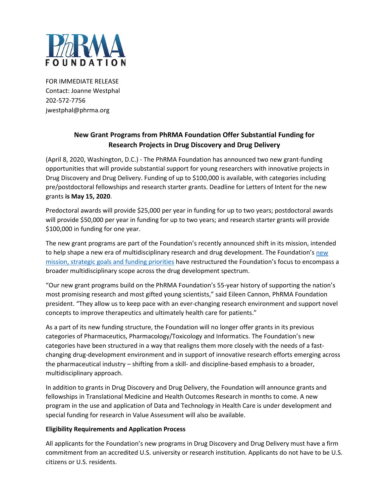

FOR IMMEDIATE RELEASE Contact: Joanne Westphal 202-572-7756 jwestphal@phrma.org

# **New Grant Programs from PhRMA Foundation Offer Substantial Funding for Research Projects in Drug Discovery and Drug Delivery**

(April 8, 2020, Washington, D.C.) - The PhRMA Foundation has announced two new grant-funding opportunities that will provide substantial support for young researchers with innovative projects in Drug Discovery and Drug Delivery. Funding of up to \$100,000 is available, with categories including pre/postdoctoral fellowships and research starter grants. Deadline for Letters of Intent for the new grants **is May 15, 2020**.

Predoctoral awards will provide \$25,000 per year in funding for up to two years; postdoctoral awards will provide \$50,000 per year in funding for up to two years; and research starter grants will provide \$100,000 in funding for one year.

The new grant programs are part of the Foundation's recently announced shift in its mission, intended to help shape a new era of multidisciplinary research and drug development. The Foundation'[s new](http://www.phrmafoundation.org/the-mission-of-the-phrma-foundation/)  [mission, strategic goals and funding priorities](http://www.phrmafoundation.org/the-mission-of-the-phrma-foundation/) have restructured the Foundation's focus to encompass a broader multidisciplinary scope across the drug development spectrum.

"Our new grant programs build on the PhRMA Foundation's 55-year history of supporting the nation's most promising research and most gifted young scientists," said Eileen Cannon, PhRMA Foundation president. "They allow us to keep pace with an ever-changing research environment and support novel concepts to improve therapeutics and ultimately health care for patients."

As a part of its new funding structure, the Foundation will no longer offer grants in its previous categories of Pharmaceutics, Pharmacology/Toxicology and Informatics. The Foundation's new categories have been structured in a way that realigns them more closely with the needs of a fastchanging drug-development environment and in support of innovative research efforts emerging across the pharmaceutical industry – shifting from a skill- and discipline-based emphasis to a broader, multidisciplinary approach.

In addition to grants in Drug Discovery and Drug Delivery, the Foundation will announce grants and fellowships in Translational Medicine and Health Outcomes Research in months to come. A new program in the use and application of Data and Technology in Health Care is under development and special funding for research in Value Assessment will also be available.

### **Eligibility Requirements and Application Process**

All applicants for the Foundation's new programs in Drug Discovery and Drug Delivery must have a firm commitment from an accredited U.S. university or research institution. Applicants do not have to be U.S. citizens or U.S. residents.